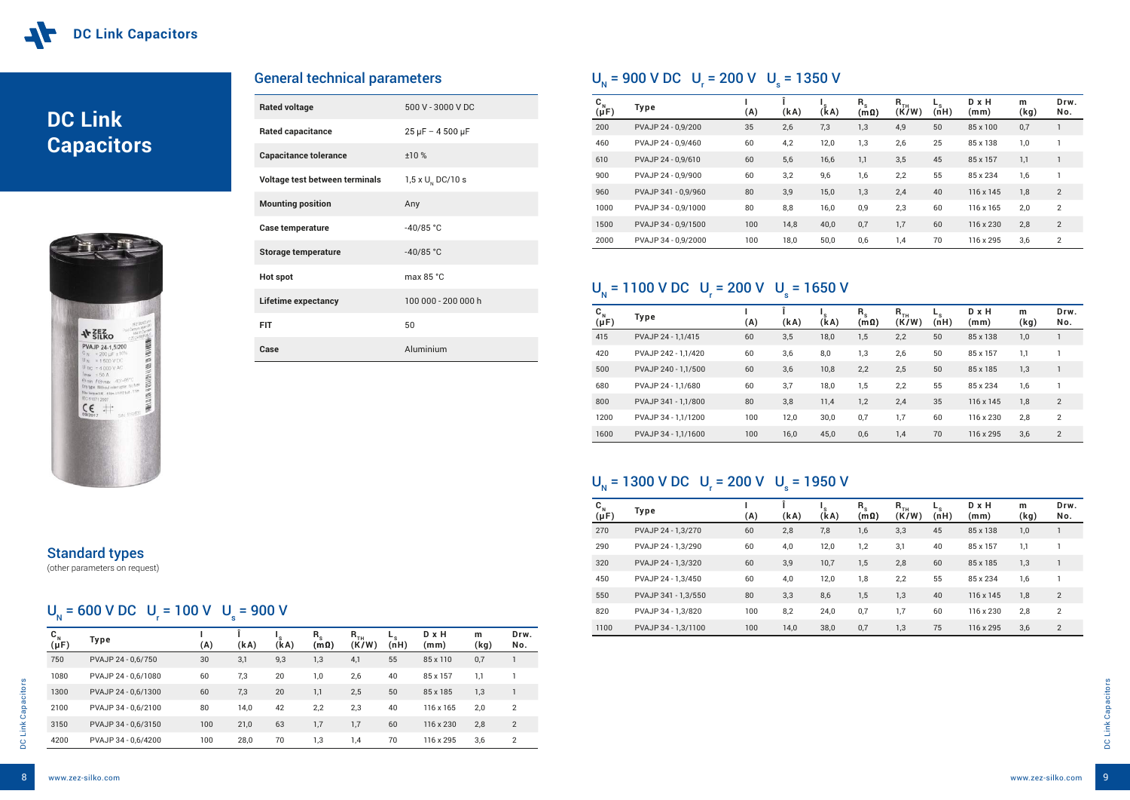# **DC Link Capacitors**



| <b>Rated voltage</b>           | 500 V - 3000 V DC          |
|--------------------------------|----------------------------|
| <b>Rated capacitance</b>       | $25 \mu$ F - 4 500 $\mu$ F |
| <b>Capacitance tolerance</b>   | $+10%$                     |
| Voltage test between terminals | 1,5 x $U_{N}$ DC/10 s      |
| <b>Mounting position</b>       | Any                        |
| Case temperature               | $-40/85 °C$                |
| <b>Storage temperature</b>     | $-40/85 °C$                |
| <b>Hot spot</b>                | max $85 °C$                |
| <b>Lifetime expectancy</b>     | 100 000 - 200 000 h        |
| <b>FIT</b>                     | 50                         |
| Case                           | Aluminium                  |

#### $U_{N}$  = 900 V DC  $U_{r}$  = 200 V  $U_{s}$  = 1350 V

| <b>General technical parameters</b> |  |
|-------------------------------------|--|
|-------------------------------------|--|

| $\mathbf{C}_{N}$<br>$(\mu F)$ | Type                | (A) | (kA) | (kA) | $R_{s}$<br>$(\mathsf{m}\hspace{0.05cm}\Omega)$ | $R$ <sub>TH</sub><br>(K/W) | $-$ <sub>s</sub><br>(nH) | $D \times H$<br>(mm) | m<br>(kg) | Drw.<br>No. |
|-------------------------------|---------------------|-----|------|------|------------------------------------------------|----------------------------|--------------------------|----------------------|-----------|-------------|
| 750                           | PVAJP 24 - 0,6/750  | 30  | 3,1  | 9,3  | 1,3                                            | 4,1                        | 55                       | 85 x 110             | 0,7       |             |
| 1080                          | PVAJP 24 - 0,6/1080 | 60  | 7,3  | 20   | 1,0                                            | 2,6                        | 40                       | 85 x 157             | 1,1       |             |
| 1300                          | PVAJP 24 - 0,6/1300 | 60  | 7,3  | 20   | 1,1                                            | 2,5                        | 50                       | 85 x 185             | 1,3       |             |
| 2100                          | PVAJP 34 - 0,6/2100 | 80  | 14,0 | 42   | 2,2                                            | 2,3                        | 40                       | 116 x 165            | 2,0       | 2           |
| 3150                          | PVAJP 34 - 0,6/3150 | 100 | 21,0 | 63   | 1,7                                            | 1,7                        | 60                       | 116 x 230            | 2,8       | 2           |
| 4200                          | PVAJP 34 - 0,6/4200 | 100 | 28,0 | 70   | 1,3                                            | 1,4                        | 70                       | 116 x 295            | 3,6       | 2           |

| $\mathbf{C}_{N}$<br>$(\mu F)$ | Type                | (A) | (kA) | (kA) | $R_{s}$<br>$(\mathsf{m}\,\Omega)$ | $R$ <sub>TH</sub><br>(K/W) | $-$ <sub>S</sub><br>(nH) | $D \times H$<br>(mm) | m<br>(kg) | Drw.<br>No.    |
|-------------------------------|---------------------|-----|------|------|-----------------------------------|----------------------------|--------------------------|----------------------|-----------|----------------|
| 200                           | PVAJP 24 - 0,9/200  | 35  | 2,6  | 7,3  | 1,3                               | 4,9                        | 50                       | 85 x 100             | 0,7       |                |
| 460                           | PVAJP 24 - 0.9/460  | 60  | 4,2  | 12,0 | 1,3                               | 2,6                        | 25                       | 85 x 138             | 1,0       |                |
| 610                           | PVAJP 24 - 0,9/610  | 60  | 5,6  | 16,6 | 1,1                               | 3,5                        | 45                       | 85 x 157             | 1,1       | $\mathbf{1}$   |
| 900                           | PVAJP 24 - 0,9/900  | 60  | 3,2  | 9,6  | 1,6                               | 2,2                        | 55                       | 85 x 234             | 1,6       |                |
| 960                           | PVAJP 341 - 0,9/960 | 80  | 3,9  | 15,0 | 1,3                               | 2,4                        | 40                       | 116 x 145            | 1,8       | $\overline{2}$ |
| 1000                          | PVAJP 34 - 0.9/1000 | 80  | 8,8  | 16,0 | 0,9                               | 2,3                        | 60                       | 116 x 165            | 2,0       | 2              |
| 1500                          | PVAJP 34 - 0,9/1500 | 100 | 14,8 | 40,0 | 0,7                               | 1,7                        | 60                       | 116 x 230            | 2,8       | $\overline{2}$ |
| 2000                          | PVAJP 34 - 0,9/2000 | 100 | 18,0 | 50,0 | 0,6                               | 1,4                        | 70                       | 116 x 295            | 3,6       | 2              |

#### $U_{N}$  = 1100 V DC  $U_{r}$  = 200 V  $U_{s}$  = 1650 V

| $\mathbf{C}_{\mathbf{N}}$<br>$(\mu F)$ | Type                | (A) | (kA) | (kA) | $R_{s}$<br>$\mathsf{(m}\Omega)$ | $R$ <sub>TH</sub><br>(K/W) | $-$ s<br>(nH) | D x H<br>(mm) | m<br>(kg) | Drw.<br>No.    |
|----------------------------------------|---------------------|-----|------|------|---------------------------------|----------------------------|---------------|---------------|-----------|----------------|
| 270                                    | PVAJP 24 - 1,3/270  | 60  | 2,8  | 7,8  | 1,6                             | 3,3                        | 45            | 85 x 138      | 1,0       |                |
| 290                                    | PVAJP 24 - 1,3/290  | 60  | 4,0  | 12,0 | 1,2                             | 3,1                        | 40            | 85 x 157      | 1,1       |                |
| 320                                    | PVAJP 24 - 1,3/320  | 60  | 3,9  | 10,7 | 1,5                             | 2,8                        | 60            | 85 x 185      | 1,3       |                |
| 450                                    | PVAJP 24 - 1,3/450  | 60  | 4,0  | 12,0 | 1,8                             | 2,2                        | 55            | 85 x 234      | 1,6       |                |
| 550                                    | PVAJP 341 - 1,3/550 | 80  | 3,3  | 8,6  | 1,5                             | 1,3                        | 40            | 116 x 145     | 1,8       | $\overline{2}$ |
| 820                                    | PVAJP 34 - 1,3/820  | 100 | 8,2  | 24,0 | 0,7                             | 1,7                        | 60            | 116 x 230     | 2,8       | 2              |
| 1100                                   | PVAJP 34 - 1,3/1100 | 100 | 14,0 | 38,0 | 0,7                             | 1,3                        | 75            | 116 x 295     | 3,6       | $\overline{2}$ |

#### Standard types

(other parameters on request)

### $U_{N}$  = 600 V DC  $U_{r}$  = 100 V  $U_{s}$  = 900 V

| $\mathbf{C}_{N}$<br>$(\mu F)$ | Type                | (A) | (kA) | 's<br>(kA) | $R_{s}$<br>$(m\Omega)$ | $R$ <sub>TH</sub><br>(K/W) | ►s<br>(nH) | D x H<br>(mm) | m<br>(kg) | Drw.<br>No. |
|-------------------------------|---------------------|-----|------|------------|------------------------|----------------------------|------------|---------------|-----------|-------------|
| 415                           | PVAJP 24 - 1.1/415  | 60  | 3,5  | 18,0       | 1,5                    | 2,2                        | 50         | 85 x 138      | 1,0       |             |
| 420                           | PVAJP 242 - 1.1/420 | 60  | 3,6  | 8,0        | 1,3                    | 2,6                        | 50         | 85 x 157      | 1,1       |             |
| 500                           | PVAJP 240 - 1,1/500 | 60  | 3,6  | 10,8       | 2,2                    | 2,5                        | 50         | 85 x 185      | 1,3       |             |
| 680                           | PVAJP 24 - 1.1/680  | 60  | 3,7  | 18,0       | 1,5                    | 2,2                        | 55         | 85 x 234      | 1,6       |             |
| 800                           | PVAJP 341 - 1.1/800 | 80  | 3,8  | 11,4       | 1,2                    | 2,4                        | 35         | 116 x 145     | 1,8       | 2           |
| 1200                          | PVAJP 34 - 1,1/1200 | 100 | 12,0 | 30,0       | 0,7                    | 1,7                        | 60         | 116 x 230     | 2,8       | 2           |
| 1600                          | PVAJP 34 - 1.1/1600 | 100 | 16,0 | 45,0       | 0,6                    | 1,4                        | 70         | 116 x 295     | 3,6       | 2           |

#### $U_{N}$  = 1300 V DC  $U_{r}$  = 200 V  $U_{s}$  = 1950 V

8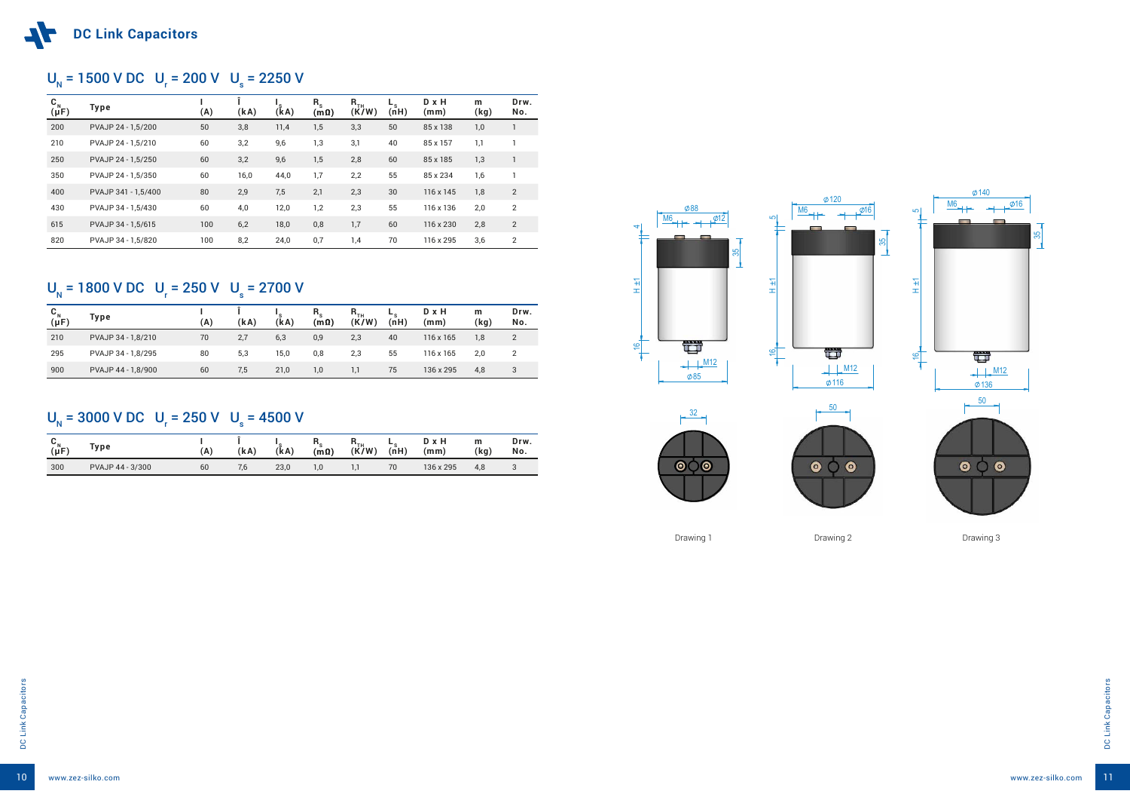





| $\mathbf{C}_{N}$<br>$(\mu F)$ | <b>Type</b>         | (A) | (kA) | 's<br>(kA) | $R_{s}$<br>$(m\Omega)$ | $R$ <sub>TH</sub><br>(K/W) | $-$ <sub>s</sub><br>(nH) | $D \times H$<br>(mm) | m<br>(kg) | Drw.<br>No.    |
|-------------------------------|---------------------|-----|------|------------|------------------------|----------------------------|--------------------------|----------------------|-----------|----------------|
| 200                           | PVAJP 24 - 1,5/200  | 50  | 3,8  | 11,4       | 1,5                    | 3,3                        | 50                       | 85 x 138             | 1,0       |                |
| 210                           | PVAJP 24 - 1,5/210  | 60  | 3,2  | 9,6        | 1,3                    | 3,1                        | 40                       | 85 x 157             | 1,1       |                |
| 250                           | PVAJP 24 - 1,5/250  | 60  | 3,2  | 9,6        | 1,5                    | 2,8                        | 60                       | 85 x 185             | 1,3       |                |
| 350                           | PVAJP 24 - 1,5/350  | 60  | 16,0 | 44,0       | 1,7                    | 2,2                        | 55                       | 85 x 234             | 1,6       |                |
| 400                           | PVAJP 341 - 1,5/400 | 80  | 2,9  | 7,5        | 2,1                    | 2,3                        | 30                       | 116 x 145            | 1,8       | $\overline{2}$ |
| 430                           | PVAJP 34 - 1,5/430  | 60  | 4,0  | 12,0       | 1,2                    | 2,3                        | 55                       | 116 x 136            | 2,0       | $\overline{2}$ |
| 615                           | PVAJP 34 - 1,5/615  | 100 | 6,2  | 18,0       | 0,8                    | 1,7                        | 60                       | 116 x 230            | 2,8       | 2              |
| 820                           | PVAJP 34 - 1.5/820  | 100 | 8,2  | 24,0       | 0,7                    | 1,4                        | 70                       | 116 x 295            | 3,6       | 2              |

### U<sub>N</sub> = 1800 V DC U<sub>r</sub> = 250 V U<sub>s</sub> = 2700 V

### U<sub>N</sub> = 1500 V DC U<sub>r</sub> = 200 V U<sub>s</sub> = 2250 V

| $C_{N}$<br>$(\mu F)$ | Type               | (A) | (kA) | 's<br>(kA) | $R_{\rm c}$<br>(m <sub>Ω</sub> ) | $\mathsf{R}_{\scriptscriptstyle\mathsf{TH}}$<br>(K/W) | ь.<br>(nH) | D x H<br>(mm)    | m<br>(kg) | Drw.<br>No. |
|----------------------|--------------------|-----|------|------------|----------------------------------|-------------------------------------------------------|------------|------------------|-----------|-------------|
| 210                  | PVAJP 34 - 1,8/210 | 70  | 2,7  | 6,3        | 0,9                              | 2,3                                                   | 40         | $116 \times 165$ | 1,8       | 2           |
| 295                  | PVAJP 34 - 1,8/295 | 80  | 5,3  | 15,0       | 0,8                              | 2,3                                                   | 55         | 116 x 165        | 2,0       | 2           |
| 900                  | PVAJP 44 - 1,8/900 | 60  | 7,5  | 21,0       | 1,0                              | 1.1                                                   | 75         | 136 x 295        | 4,8       | 3           |

## $U_{N}$  = 3000 V DC  $U_{r}$  = 250 V  $U_{s}$  = 4500 V

| $\sim_{N}$<br>$(\mu F)$ | Type.            | $\mathbf{A}$ | (kA) | (kA) | ''s<br>$(\mathsf{m}\,\Omega)$ | ""тн<br>(K/W) | - -<br>(nH) | D x H<br>(mm) | m<br>(kg) | Drw.<br>No. |
|-------------------------|------------------|--------------|------|------|-------------------------------|---------------|-------------|---------------|-----------|-------------|
| 300                     | PVAJP 44 - 3/300 | 60           | 7, b | 23,0 | $\cdot$ ,0                    |               | 70          | 136 x 295     | 4,8       |             |

Drawing 1 Drawing 2 Drawing 2 Drawing 3